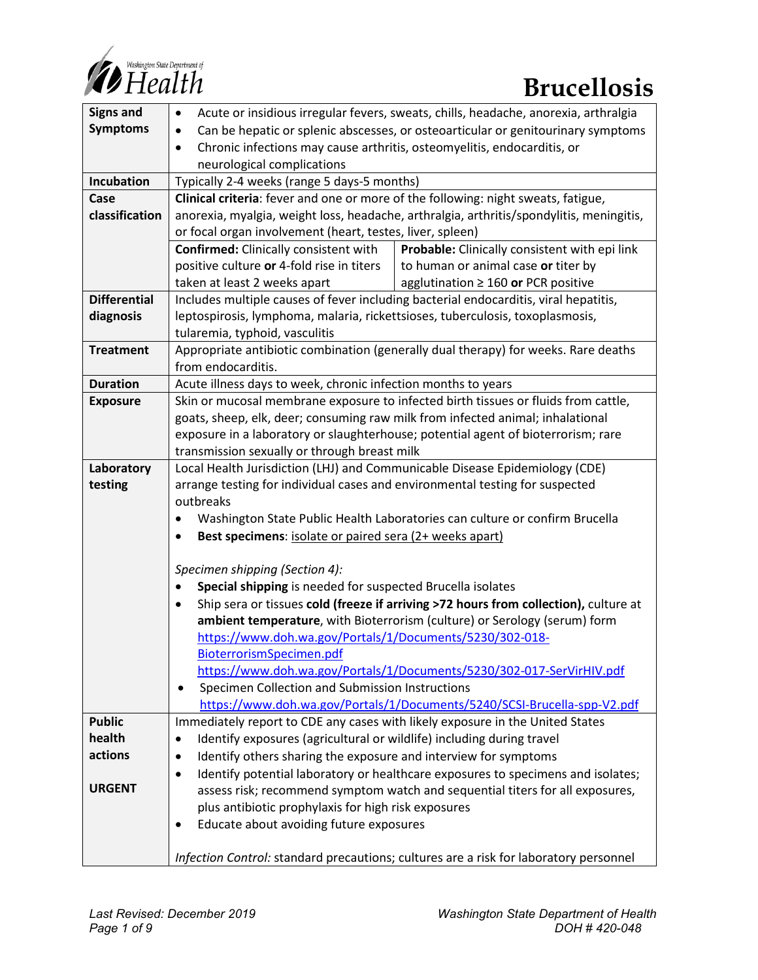

| <b>Signs and</b>    | Acute or insidious irregular fevers, sweats, chills, headache, anorexia, arthralgia<br>$\bullet$                                                            |                                               |
|---------------------|-------------------------------------------------------------------------------------------------------------------------------------------------------------|-----------------------------------------------|
| <b>Symptoms</b>     | Can be hepatic or splenic abscesses, or osteoarticular or genitourinary symptoms<br>$\bullet$                                                               |                                               |
|                     | Chronic infections may cause arthritis, osteomyelitis, endocarditis, or<br>$\bullet$                                                                        |                                               |
|                     | neurological complications                                                                                                                                  |                                               |
| Incubation          | Typically 2-4 weeks (range 5 days-5 months)                                                                                                                 |                                               |
| Case                | Clinical criteria: fever and one or more of the following: night sweats, fatigue,                                                                           |                                               |
| classification      | anorexia, myalgia, weight loss, headache, arthralgia, arthritis/spondylitis, meningitis,                                                                    |                                               |
|                     | or focal organ involvement (heart, testes, liver, spleen)                                                                                                   |                                               |
|                     | Confirmed: Clinically consistent with                                                                                                                       | Probable: Clinically consistent with epi link |
|                     | positive culture or 4-fold rise in titers                                                                                                                   | to human or animal case or titer by           |
|                     | taken at least 2 weeks apart                                                                                                                                | agglutination $\geq 160$ or PCR positive      |
| <b>Differential</b> | Includes multiple causes of fever including bacterial endocarditis, viral hepatitis,                                                                        |                                               |
| diagnosis           | leptospirosis, lymphoma, malaria, rickettsioses, tuberculosis, toxoplasmosis,                                                                               |                                               |
|                     | tularemia, typhoid, vasculitis                                                                                                                              |                                               |
| <b>Treatment</b>    | Appropriate antibiotic combination (generally dual therapy) for weeks. Rare deaths                                                                          |                                               |
|                     | from endocarditis.                                                                                                                                          |                                               |
| <b>Duration</b>     | Acute illness days to week, chronic infection months to years                                                                                               |                                               |
| <b>Exposure</b>     | Skin or mucosal membrane exposure to infected birth tissues or fluids from cattle,                                                                          |                                               |
|                     | goats, sheep, elk, deer; consuming raw milk from infected animal; inhalational                                                                              |                                               |
|                     | exposure in a laboratory or slaughterhouse; potential agent of bioterrorism; rare                                                                           |                                               |
|                     | transmission sexually or through breast milk                                                                                                                |                                               |
| Laboratory          | Local Health Jurisdiction (LHJ) and Communicable Disease Epidemiology (CDE)<br>arrange testing for individual cases and environmental testing for suspected |                                               |
| testing             | outbreaks                                                                                                                                                   |                                               |
|                     | Washington State Public Health Laboratories can culture or confirm Brucella                                                                                 |                                               |
|                     | Best specimens: isolate or paired sera (2+ weeks apart)                                                                                                     |                                               |
|                     |                                                                                                                                                             |                                               |
|                     | Specimen shipping (Section 4):                                                                                                                              |                                               |
|                     | Special shipping is needed for suspected Brucella isolates                                                                                                  |                                               |
|                     | Ship sera or tissues cold (freeze if arriving >72 hours from collection), culture at<br>$\bullet$                                                           |                                               |
|                     | ambient temperature, with Bioterrorism (culture) or Serology (serum) form                                                                                   |                                               |
|                     | https://www.doh.wa.gov/Portals/1/Documents/5230/302-018-                                                                                                    |                                               |
|                     | BioterrorismSpecimen.pdf                                                                                                                                    |                                               |
|                     | https://www.doh.wa.gov/Portals/1/Documents/5230/302-017-SerVirHIV.pdf                                                                                       |                                               |
|                     | Specimen Collection and Submission Instructions<br>$\bullet$                                                                                                |                                               |
|                     | https://www.doh.wa.gov/Portals/1/Documents/5240/SCSI-Brucella-spp-V2.pdf                                                                                    |                                               |
| <b>Public</b>       | Immediately report to CDE any cases with likely exposure in the United States                                                                               |                                               |
| health              | Identify exposures (agricultural or wildlife) including during travel<br>٠                                                                                  |                                               |
| actions             | Identify others sharing the exposure and interview for symptoms<br>$\bullet$                                                                                |                                               |
|                     | Identify potential laboratory or healthcare exposures to specimens and isolates;<br>$\bullet$                                                               |                                               |
| <b>URGENT</b>       | assess risk; recommend symptom watch and sequential titers for all exposures,                                                                               |                                               |
|                     | plus antibiotic prophylaxis for high risk exposures                                                                                                         |                                               |
|                     | Educate about avoiding future exposures<br>٠                                                                                                                |                                               |
|                     |                                                                                                                                                             |                                               |
|                     | Infection Control: standard precautions; cultures are a risk for laboratory personnel                                                                       |                                               |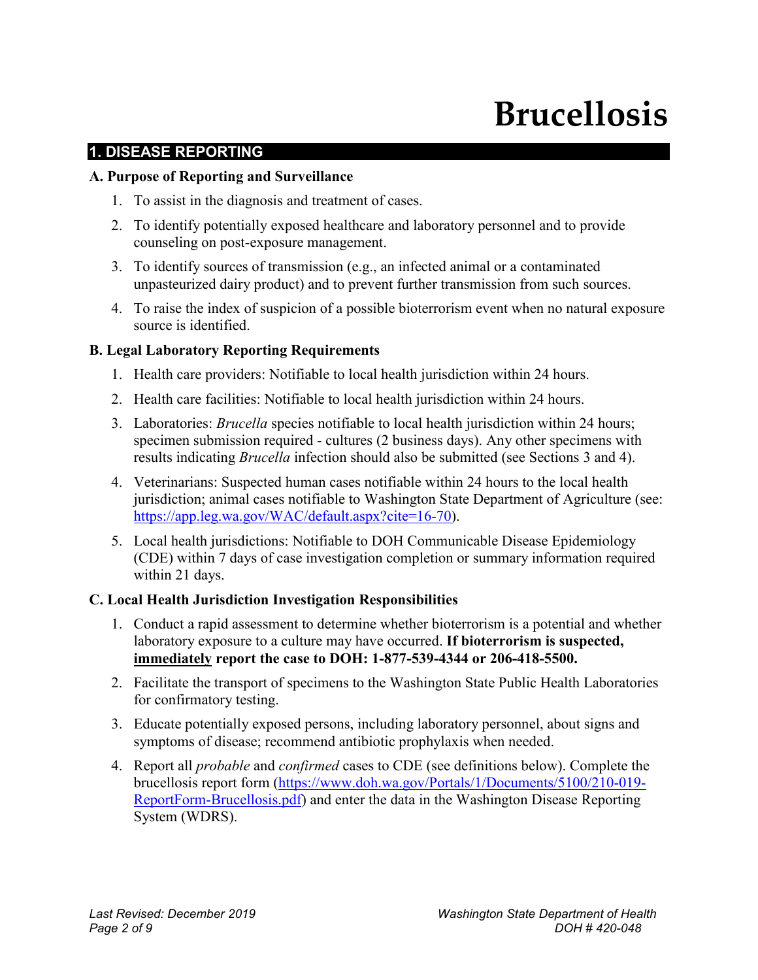# **Brucellosis**

# **1. DISEASE REPORTING**

#### **A. Purpose of Reporting and Surveillance**

- 1. To assist in the diagnosis and treatment of cases.
- 2. To identify potentially exposed healthcare and laboratory personnel and to provide counseling on post-exposure management.
- 3. To identify sources of transmission (e.g., an infected animal or a contaminated unpasteurized dairy product) and to prevent further transmission from such sources.
- 4. To raise the index of suspicion of a possible bioterrorism event when no natural exposure source is identified.

#### **B. Legal Laboratory Reporting Requirements**

- 1. Health care providers: Notifiable to local health jurisdiction within 24 hours.
- 2. Health care facilities: Notifiable to local health jurisdiction within 24 hours.
- 3. Laboratories: *Brucella* species notifiable to local health jurisdiction within 24 hours; specimen submission required - cultures (2 business days). Any other specimens with results indicating *Brucella* infection should also be submitted (see Sections 3 and 4).
- 4. Veterinarians: Suspected human cases notifiable within 24 hours to the local health jurisdiction; animal cases notifiable to Washington State Department of Agriculture (see: [https://app.leg.wa.gov/WAC/default.aspx?cite=16-70\)](https://app.leg.wa.gov/WAC/default.aspx?cite=16-70).
- 5. Local health jurisdictions: Notifiable to DOH Communicable Disease Epidemiology (CDE) within 7 days of case investigation completion or summary information required within 21 days.

#### **C. Local Health Jurisdiction Investigation Responsibilities**

- 1. Conduct a rapid assessment to determine whether bioterrorism is a potential and whether laboratory exposure to a culture may have occurred. **If bioterrorism is suspected, immediately report the case to DOH: 1-877-539-4344 or 206-418-5500.**
- 2. Facilitate the transport of specimens to the Washington State Public Health Laboratories for confirmatory testing.
- 3. Educate potentially exposed persons, including laboratory personnel, about signs and symptoms of disease; recommend antibiotic prophylaxis when needed.
- 4. Report all *probable* and *confirmed* cases to CDE (see definitions below). Complete the brucellosis report form [\(https://www.doh.wa.gov/Portals/1/Documents/5100/210-019-](https://www.doh.wa.gov/Portals/1/Documents/5100/210-019-ReportForm-Brucellosis.pdf) [ReportForm-Brucellosis.pdf\)](https://www.doh.wa.gov/Portals/1/Documents/5100/210-019-ReportForm-Brucellosis.pdf) and enter the data in the Washington Disease Reporting System (WDRS).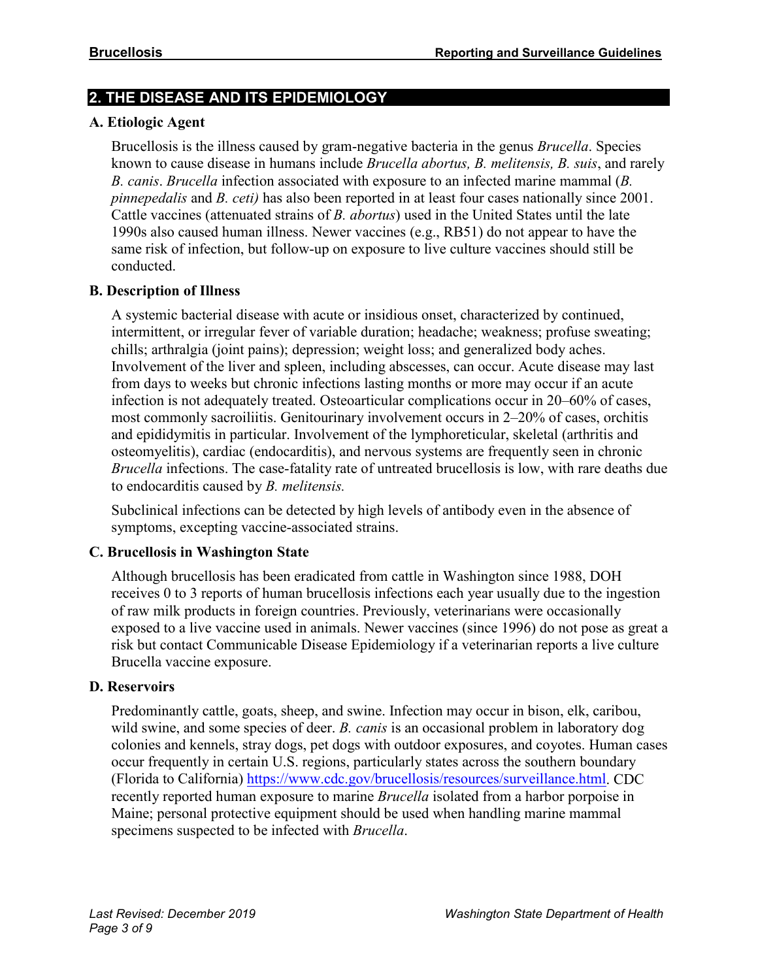#### **2. THE DISEASE AND ITS EPIDEMIOLOGY**

#### **A. Etiologic Agent**

Brucellosis is the illness caused by gram-negative bacteria in the genus *Brucella*. Species known to cause disease in humans include *Brucella abortus, B. melitensis, B. suis*, and rarely *B. canis*. *Brucella* infection associated with exposure to an infected marine mammal (*B. pinnepedalis* and *B. ceti)* has also been reported in at least four cases nationally since 2001. Cattle vaccines (attenuated strains of *B. abortus*) used in the United States until the late 1990s also caused human illness. Newer vaccines (e.g., RB51) do not appear to have the same risk of infection, but follow-up on exposure to live culture vaccines should still be conducted.

#### **B. Description of Illness**

A systemic bacterial disease with acute or insidious onset, characterized by continued, intermittent, or irregular fever of variable duration; headache; weakness; profuse sweating; chills; arthralgia (joint pains); depression; weight loss; and generalized body aches. Involvement of the liver and spleen, including abscesses, can occur. Acute disease may last from days to weeks but chronic infections lasting months or more may occur if an acute infection is not adequately treated. Osteoarticular complications occur in 20–60% of cases, most commonly sacroiliitis. Genitourinary involvement occurs in 2–20% of cases, orchitis and epididymitis in particular. Involvement of the lymphoreticular, skeletal (arthritis and osteomyelitis), cardiac (endocarditis), and nervous systems are frequently seen in chronic *Brucella* infections. The case-fatality rate of untreated brucellosis is low, with rare deaths due to endocarditis caused by *B. melitensis.*

Subclinical infections can be detected by high levels of antibody even in the absence of symptoms, excepting vaccine-associated strains.

#### **C. Brucellosis in Washington State**

Although brucellosis has been eradicated from cattle in Washington since 1988, DOH receives 0 to 3 reports of human brucellosis infections each year usually due to the ingestion of raw milk products in foreign countries. Previously, veterinarians were occasionally exposed to a live vaccine used in animals. Newer vaccines (since 1996) do not pose as great a risk but contact Communicable Disease Epidemiology if a veterinarian reports a live culture Brucella vaccine exposure.

#### **D. Reservoirs**

Predominantly cattle, goats, sheep, and swine. Infection may occur in bison, elk, caribou, wild swine, and some species of deer. *B. canis* is an occasional problem in laboratory dog colonies and kennels, stray dogs, pet dogs with outdoor exposures, and coyotes. Human cases occur frequently in certain U.S. regions, particularly states across the southern boundary (Florida to California) [https://www.cdc.gov/brucellosis/resources/surveillance.html.](https://www.cdc.gov/brucellosis/resources/surveillance.html) CDC recently reported human exposure to marine *Brucella* isolated from a harbor porpoise in Maine; personal protective equipment should be used when handling marine mammal specimens suspected to be infected with *Brucella*.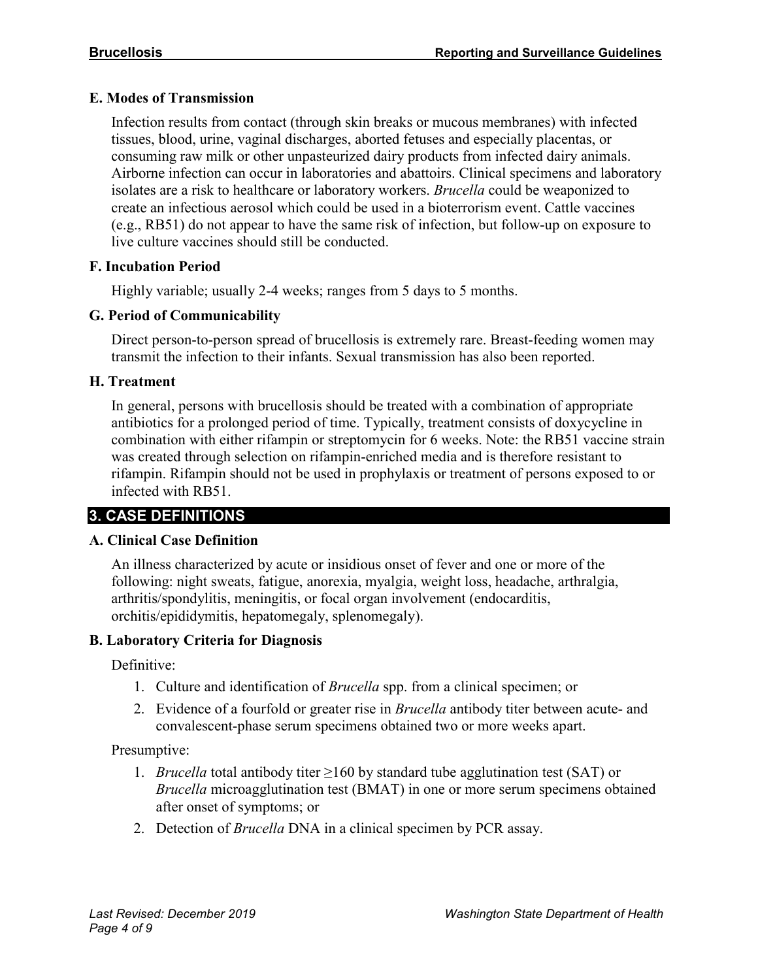#### **E. Modes of Transmission**

Infection results from contact (through skin breaks or mucous membranes) with infected tissues, blood, urine, vaginal discharges, aborted fetuses and especially placentas, or consuming raw milk or other unpasteurized dairy products from infected dairy animals. Airborne infection can occur in laboratories and abattoirs. Clinical specimens and laboratory isolates are a risk to healthcare or laboratory workers. *Brucella* could be weaponized to create an infectious aerosol which could be used in a bioterrorism event. Cattle vaccines (e.g., RB51) do not appear to have the same risk of infection, but follow-up on exposure to live culture vaccines should still be conducted.

#### **F. Incubation Period**

Highly variable; usually 2-4 weeks; ranges from 5 days to 5 months.

#### **G. Period of Communicability**

Direct person-to-person spread of brucellosis is extremely rare. Breast-feeding women may transmit the infection to their infants. Sexual transmission has also been reported.

#### **H. Treatment**

In general, persons with brucellosis should be treated with a combination of appropriate antibiotics for a prolonged period of time. Typically, treatment consists of doxycycline in combination with either rifampin or streptomycin for 6 weeks. Note: the RB51 vaccine strain was created through selection on rifampin-enriched media and is therefore resistant to rifampin. Rifampin should not be used in prophylaxis or treatment of persons exposed to or infected with RB51.

# **3. CASE DEFINITIONS**

#### **A. Clinical Case Definition**

An illness characterized by acute or insidious onset of fever and one or more of the following: night sweats, fatigue, anorexia, myalgia, weight loss, headache, arthralgia, arthritis/spondylitis, meningitis, or focal organ involvement (endocarditis, orchitis/epididymitis, hepatomegaly, splenomegaly).

#### **B. Laboratory Criteria for Diagnosis**

Definitive:

- 1. Culture and identification of *Brucella* spp. from a clinical specimen; or
- 2. Evidence of a fourfold or greater rise in *Brucella* antibody titer between acute- and convalescent-phase serum specimens obtained two or more weeks apart.

#### Presumptive:

- 1. *Brucella* total antibody titer ≥160 by standard tube agglutination test (SAT) or *Brucella* microagglutination test (BMAT) in one or more serum specimens obtained after onset of symptoms; or
- 2. Detection of *Brucella* DNA in a clinical specimen by PCR assay.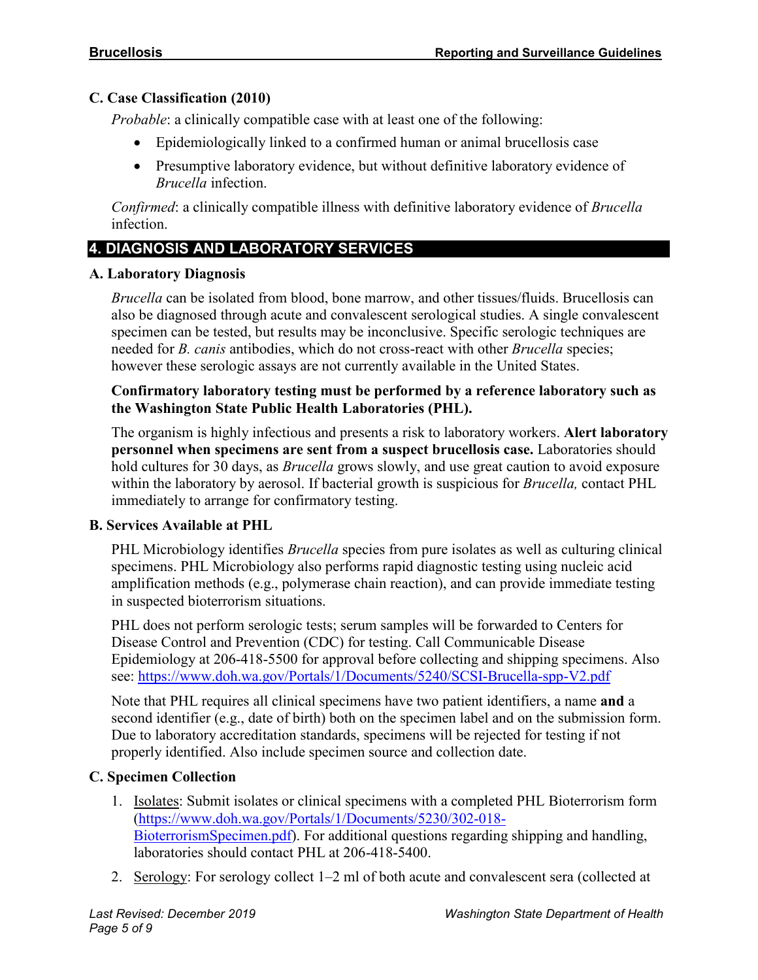#### **C. Case Classification (2010)**

*Probable*: a clinically compatible case with at least one of the following:

- Epidemiologically linked to a confirmed human or animal brucellosis case
- Presumptive laboratory evidence, but without definitive laboratory evidence of *Brucella* infection.

*Confirmed*: a clinically compatible illness with definitive laboratory evidence of *Brucella* infection.

# **4. DIAGNOSIS AND LABORATORY SERVICES**

#### **A. Laboratory Diagnosis**

*Brucella* can be isolated from blood, bone marrow, and other tissues/fluids. Brucellosis can also be diagnosed through acute and convalescent serological studies. A single convalescent specimen can be tested, but results may be inconclusive. Specific serologic techniques are needed for *B. canis* antibodies, which do not cross-react with other *Brucella* species; however these serologic assays are not currently available in the United States.

#### **Confirmatory laboratory testing must be performed by a reference laboratory such as the Washington State Public Health Laboratories (PHL).**

The organism is highly infectious and presents a risk to laboratory workers. **Alert laboratory personnel when specimens are sent from a suspect brucellosis case.** Laboratories should hold cultures for 30 days, as *Brucella* grows slowly, and use great caution to avoid exposure within the laboratory by aerosol. If bacterial growth is suspicious for *Brucella,* contact PHL immediately to arrange for confirmatory testing.

# **B. Services Available at PHL**

PHL Microbiology identifies *Brucella* species from pure isolates as well as culturing clinical specimens. PHL Microbiology also performs rapid diagnostic testing using nucleic acid amplification methods (e.g., polymerase chain reaction), and can provide immediate testing in suspected bioterrorism situations.

PHL does not perform serologic tests; serum samples will be forwarded to Centers for Disease Control and Prevention (CDC) for testing. Call Communicable Disease Epidemiology at 206-418-5500 for approval before collecting and shipping specimens. Also see:<https://www.doh.wa.gov/Portals/1/Documents/5240/SCSI-Brucella-spp-V2.pdf>

Note that PHL requires all clinical specimens have two patient identifiers, a name **and** a second identifier (e.g., date of birth) both on the specimen label and on the submission form. Due to laboratory accreditation standards, specimens will be rejected for testing if not properly identified. Also include specimen source and collection date.

# **C. Specimen Collection**

- 1. Isolates: Submit isolates or clinical specimens with a completed PHL Bioterrorism form [\(https://www.doh.wa.gov/Portals/1/Documents/5230/302-018-](https://www.doh.wa.gov/Portals/1/Documents/5230/302-018-BioterrorismSpecimen.pdf) [BioterrorismSpecimen.pdf\)](https://www.doh.wa.gov/Portals/1/Documents/5230/302-018-BioterrorismSpecimen.pdf). For additional questions regarding shipping and handling, laboratories should contact PHL at 206-418-5400.
- 2. Serology: For serology collect 1–2 ml of both acute and convalescent sera (collected at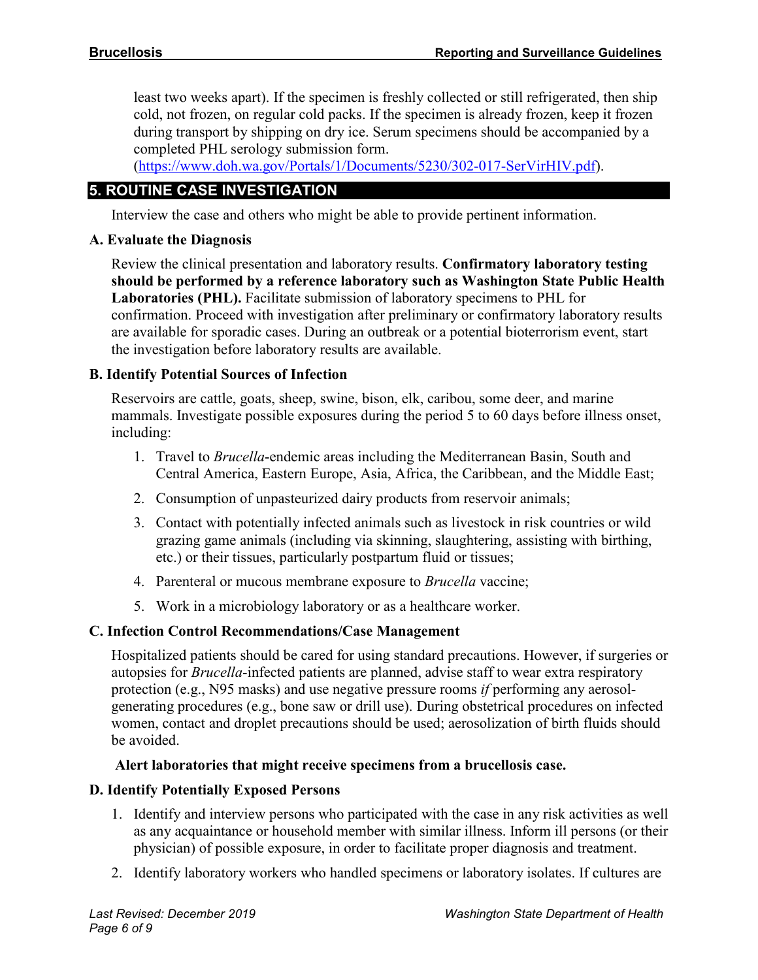least two weeks apart). If the specimen is freshly collected or still refrigerated, then ship cold, not frozen, on regular cold packs. If the specimen is already frozen, keep it frozen during transport by shipping on dry ice. Serum specimens should be accompanied by a completed PHL serology submission form.

[\(https://www.doh.wa.gov/Portals/1/Documents/5230/302-017-SerVirHIV.pdf\)](https://www.doh.wa.gov/Portals/1/Documents/5230/302-017-SerVirHIV.pdf).

# **5. ROUTINE CASE INVESTIGATION**

Interview the case and others who might be able to provide pertinent information.

#### **A. Evaluate the Diagnosis**

Review the clinical presentation and laboratory results. **Confirmatory laboratory testing should be performed by a reference laboratory such as Washington State Public Health Laboratories (PHL).** Facilitate submission of laboratory specimens to PHL for confirmation. Proceed with investigation after preliminary or confirmatory laboratory results are available for sporadic cases. During an outbreak or a potential bioterrorism event, start the investigation before laboratory results are available.

#### **B. Identify Potential Sources of Infection**

Reservoirs are cattle, goats, sheep, swine, bison, elk, caribou, some deer, and marine mammals. Investigate possible exposures during the period 5 to 60 days before illness onset, including:

- 1. Travel to *Brucella*-endemic areas including the Mediterranean Basin, South and Central America, Eastern Europe, Asia, Africa, the Caribbean, and the Middle East;
- 2. Consumption of unpasteurized dairy products from reservoir animals;
- 3. Contact with potentially infected animals such as livestock in risk countries or wild grazing game animals (including via skinning, slaughtering, assisting with birthing, etc.) or their tissues, particularly postpartum fluid or tissues;
- 4. Parenteral or mucous membrane exposure to *Brucella* vaccine;
- 5. Work in a microbiology laboratory or as a healthcare worker.

# **C. Infection Control Recommendations/Case Management**

Hospitalized patients should be cared for using standard precautions. However, if surgeries or autopsies for *Brucella*-infected patients are planned, advise staff to wear extra respiratory protection (e.g., N95 masks) and use negative pressure rooms *if* performing any aerosolgenerating procedures (e.g., bone saw or drill use). During obstetrical procedures on infected women, contact and droplet precautions should be used; aerosolization of birth fluids should be avoided.

#### **Alert laboratories that might receive specimens from a brucellosis case.**

#### **D. Identify Potentially Exposed Persons**

- 1. Identify and interview persons who participated with the case in any risk activities as well as any acquaintance or household member with similar illness. Inform ill persons (or their physician) of possible exposure, in order to facilitate proper diagnosis and treatment.
- 2. Identify laboratory workers who handled specimens or laboratory isolates. If cultures are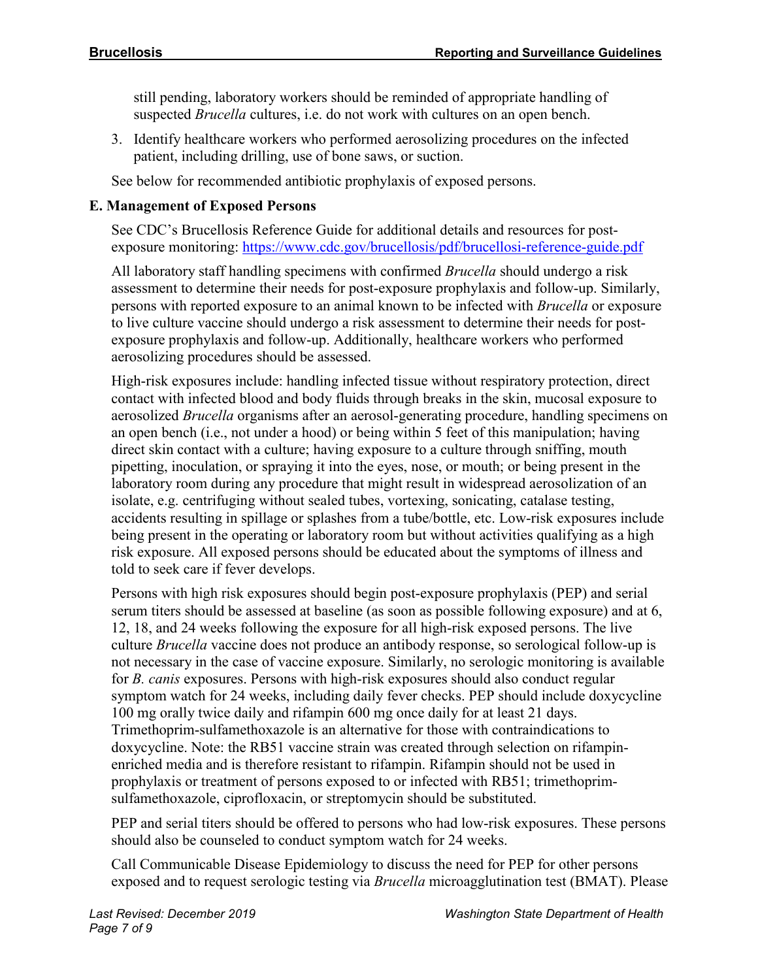still pending, laboratory workers should be reminded of appropriate handling of suspected *Brucella* cultures, i.e. do not work with cultures on an open bench.

3. Identify healthcare workers who performed aerosolizing procedures on the infected patient, including drilling, use of bone saws, or suction.

See below for recommended antibiotic prophylaxis of exposed persons.

# **E. Management of Exposed Persons**

See CDC's Brucellosis Reference Guide for additional details and resources for postexposure monitoring:<https://www.cdc.gov/brucellosis/pdf/brucellosi-reference-guide.pdf>

All laboratory staff handling specimens with confirmed *Brucella* should undergo a risk assessment to determine their needs for post-exposure prophylaxis and follow-up. Similarly, persons with reported exposure to an animal known to be infected with *Brucella* or exposure to live culture vaccine should undergo a risk assessment to determine their needs for postexposure prophylaxis and follow-up. Additionally, healthcare workers who performed aerosolizing procedures should be assessed.

High-risk exposures include: handling infected tissue without respiratory protection, direct contact with infected blood and body fluids through breaks in the skin, mucosal exposure to aerosolized *Brucella* organisms after an aerosol-generating procedure, handling specimens on an open bench (i.e., not under a hood) or being within 5 feet of this manipulation; having direct skin contact with a culture; having exposure to a culture through sniffing, mouth pipetting, inoculation, or spraying it into the eyes, nose, or mouth; or being present in the laboratory room during any procedure that might result in widespread aerosolization of an isolate, e.g. centrifuging without sealed tubes, vortexing, sonicating, catalase testing, accidents resulting in spillage or splashes from a tube/bottle, etc. Low-risk exposures include being present in the operating or laboratory room but without activities qualifying as a high risk exposure. All exposed persons should be educated about the symptoms of illness and told to seek care if fever develops.

Persons with high risk exposures should begin post-exposure prophylaxis (PEP) and serial serum titers should be assessed at baseline (as soon as possible following exposure) and at 6, 12, 18, and 24 weeks following the exposure for all high-risk exposed persons. The live culture *Brucella* vaccine does not produce an antibody response, so serological follow-up is not necessary in the case of vaccine exposure. Similarly, no serologic monitoring is available for *B. canis* exposures. Persons with high-risk exposures should also conduct regular symptom watch for 24 weeks, including daily fever checks. PEP should include doxycycline 100 mg orally twice daily and rifampin 600 mg once daily for at least 21 days. Trimethoprim-sulfamethoxazole is an alternative for those with contraindications to doxycycline. Note: the RB51 vaccine strain was created through selection on rifampinenriched media and is therefore resistant to rifampin. Rifampin should not be used in prophylaxis or treatment of persons exposed to or infected with RB51; trimethoprimsulfamethoxazole, ciprofloxacin, or streptomycin should be substituted.

PEP and serial titers should be offered to persons who had low-risk exposures. These persons should also be counseled to conduct symptom watch for 24 weeks.

Call Communicable Disease Epidemiology to discuss the need for PEP for other persons exposed and to request serologic testing via *Brucella* microagglutination test (BMAT). Please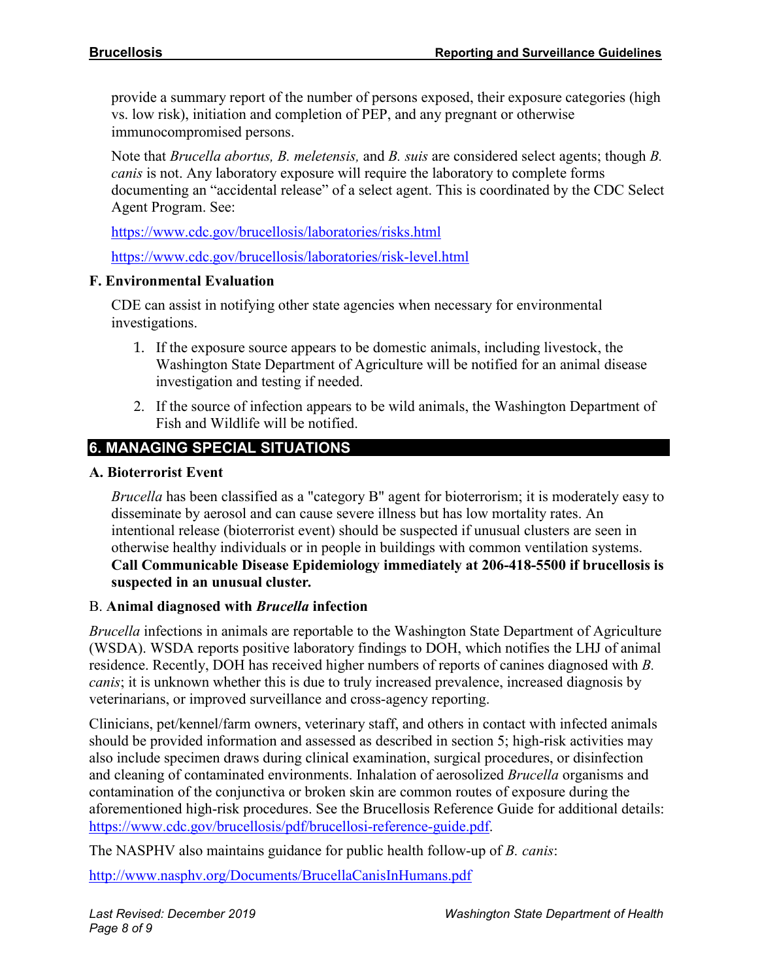provide a summary report of the number of persons exposed, their exposure categories (high vs. low risk), initiation and completion of PEP, and any pregnant or otherwise immunocompromised persons.

Note that *Brucella abortus, B. meletensis,* and *B. suis* are considered select agents; though *B. canis* is not. Any laboratory exposure will require the laboratory to complete forms documenting an "accidental release" of a select agent. This is coordinated by the CDC Select Agent Program. See:

<https://www.cdc.gov/brucellosis/laboratories/risks.html>

<https://www.cdc.gov/brucellosis/laboratories/risk-level.html>

#### **F. Environmental Evaluation**

CDE can assist in notifying other state agencies when necessary for environmental investigations.

- 1. If the exposure source appears to be domestic animals, including livestock, the Washington State Department of Agriculture will be notified for an animal disease investigation and testing if needed.
- 2. If the source of infection appears to be wild animals, the Washington Department of Fish and Wildlife will be notified.

# **6. MANAGING SPECIAL SITUATIONS**

#### **A. Bioterrorist Event**

*Brucella* has been classified as a "category B" agent for bioterrorism; it is moderately easy to disseminate by aerosol and can cause severe illness but has low mortality rates. An intentional release (bioterrorist event) should be suspected if unusual clusters are seen in otherwise healthy individuals or in people in buildings with common ventilation systems. **Call Communicable Disease Epidemiology immediately at 206-418-5500 if brucellosis is suspected in an unusual cluster***.*

#### B. **Animal diagnosed with** *Brucella* **infection**

*Brucella* infections in animals are reportable to the Washington State Department of Agriculture (WSDA). WSDA reports positive laboratory findings to DOH, which notifies the LHJ of animal residence. Recently, DOH has received higher numbers of reports of canines diagnosed with *B. canis*; it is unknown whether this is due to truly increased prevalence, increased diagnosis by veterinarians, or improved surveillance and cross-agency reporting.

Clinicians, pet/kennel/farm owners, veterinary staff, and others in contact with infected animals should be provided information and assessed as described in section 5; high-risk activities may also include specimen draws during clinical examination, surgical procedures, or disinfection and cleaning of contaminated environments. Inhalation of aerosolized *Brucella* organisms and contamination of the conjunctiva or broken skin are common routes of exposure during the aforementioned high-risk procedures. See the Brucellosis Reference Guide for additional details: [https://www.cdc.gov/brucellosis/pdf/brucellosi-reference-guide.pdf.](https://www.cdc.gov/brucellosis/pdf/brucellosi-reference-guide.pdf)

The NASPHV also maintains guidance for public health follow-up of *B. canis*:

<http://www.nasphv.org/Documents/BrucellaCanisInHumans.pdf>